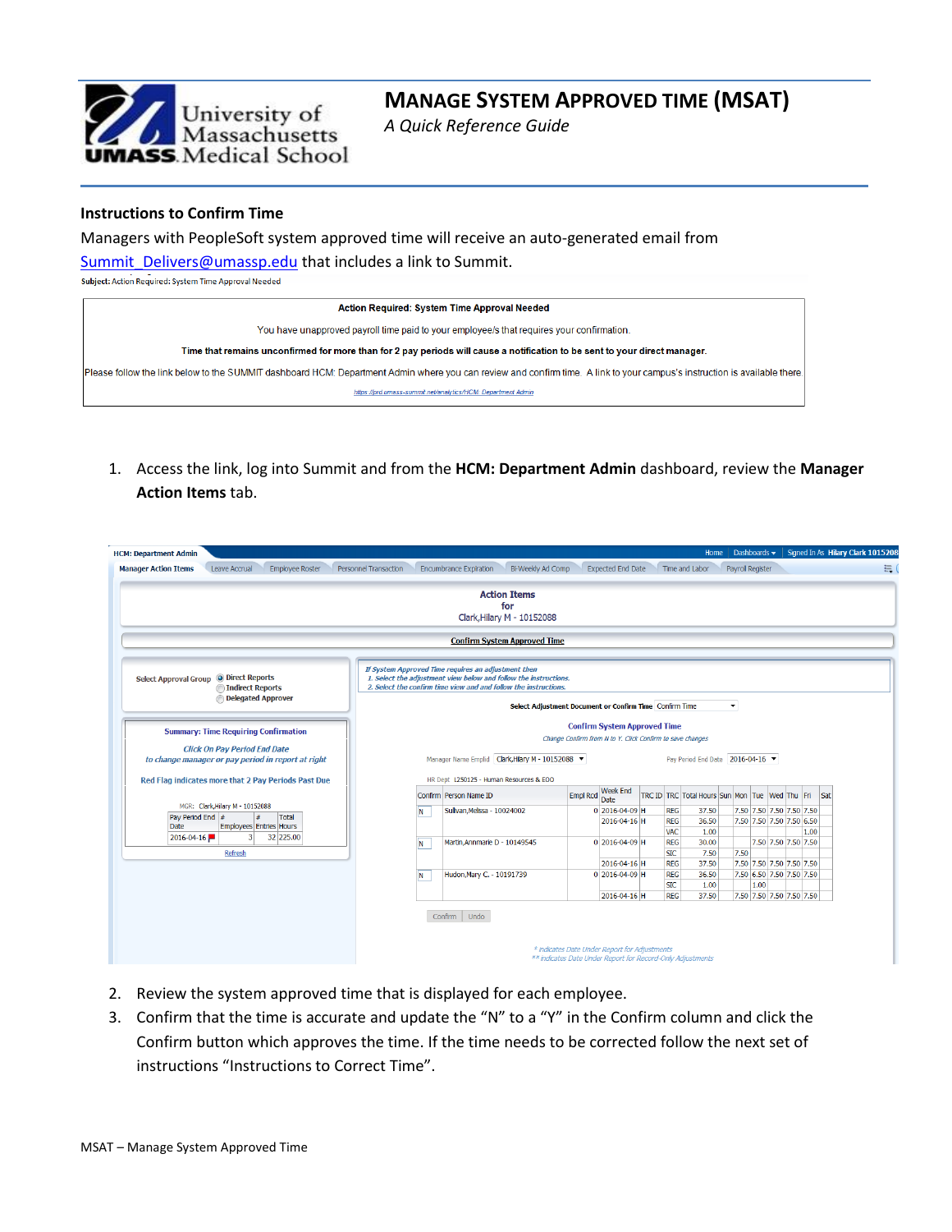

# **MANAGE SYSTEM APPROVED TIME (MSAT)**

*A Quick Reference Guide*

## **Instructions to Confirm Time**

Managers with PeopleSoft system approved time will receive an auto-generated email from [Summit\\_Delivers@umassp.edu](mailto:Summit_Delivers@umassp.edu) that includes a link to Summit.

Subject: Action Required: System Time Approval Needed

| <b>Action Required: System Time Approval Needed</b>                                                                                                                       |
|---------------------------------------------------------------------------------------------------------------------------------------------------------------------------|
| You have unapproved payroll time paid to your employee/s that requires your confirmation.                                                                                 |
| Time that remains unconfirmed for more than for 2 pay periods will cause a notification to be sent to your direct manager.                                                |
| Please follow the link below to the SUMMIT dashboard HCM: Department Admin where you can review and confirm time. A link to your campus's instruction is available there. |
| https://prd.umass-summit.net/analytics/HCM: Department Admin                                                                                                              |

1. Access the link, log into Summit and from the **HCM: Department Admin** dashboard, review the **Manager Action Items** tab.

| <b>HCM: Department Admin</b>                                                                                                             |                              |                                                                                                                                                                                             |                                                                                                             |                                |                                                | Home                           | Dashboards $\star$   |                                                      |      | Signed In As Hilary Clark 1015208 |
|------------------------------------------------------------------------------------------------------------------------------------------|------------------------------|---------------------------------------------------------------------------------------------------------------------------------------------------------------------------------------------|-------------------------------------------------------------------------------------------------------------|--------------------------------|------------------------------------------------|--------------------------------|----------------------|------------------------------------------------------|------|-----------------------------------|
| <b>Employee Roster</b><br><b>Manager Action Items</b><br>Leave Accrual                                                                   | <b>Personnel Transaction</b> | Bi-Weekly Ad Comp<br><b>Encumbrance Expiration</b>                                                                                                                                          |                                                                                                             | <b>Expected End Date</b>       |                                                | Time and Labor                 | Payrol Register      |                                                      |      | 景                                 |
|                                                                                                                                          |                              | <b>Action Items</b><br>for<br>Clark, Hilary M - 10152088                                                                                                                                    |                                                                                                             |                                |                                                |                                |                      |                                                      |      |                                   |
|                                                                                                                                          |                              | <b>Confirm System Approved Time</b>                                                                                                                                                         |                                                                                                             |                                |                                                |                                |                      |                                                      |      |                                   |
| Select Approval Group @ Direct Reports<br>Indirect Reports<br>Delegated Approver                                                         |                              | If System Approved Time requires an adjustment then<br>1. Select the adjustment view below and follow the instructions.<br>2. Select the confirm time view and and follow the instructions. | Select Adjustment Document or Confirm Time Confirm Time                                                     |                                |                                                |                                | $\blacktriangledown$ |                                                      |      |                                   |
| <b>Summary: Time Requiring Confirmation</b><br><b>Click On Pay Period End Date</b><br>to change manager or pay period in report at right |                              | Manager Name Emplid Clark, Hilary M - 10152088                                                                                                                                              | Change Confirm from N to Y. Click Confirm to save changes                                                   |                                | <b>Confirm System Approved Time</b>            | Pay Period End Date 2016-04-16 |                      |                                                      |      |                                   |
| Red Flag indicates more that 2 Pay Periods Past Due                                                                                      |                              | HR Dept L250125 - Human Resources & EOO<br>Confirm Person Name ID                                                                                                                           | <b>Empl Rcd</b>                                                                                             | <b>Week End</b><br>Date        | TRC ID TRC Total Hours Sun Mon Tue Wed Thu Fri |                                |                      |                                                      | Sat  |                                   |
| MGR: Clark, Hilary M - 10152088<br>Pay Period End #<br>l#<br>Total<br><b>Employees Entries Hours</b><br><b>Date</b>                      | N                            | Sulivan, Melissa - 10024002                                                                                                                                                                 |                                                                                                             | 0 2016-04-09 H<br>2016-04-16 H | <b>REG</b><br><b>REG</b><br><b>VAC</b>         | 37.50<br>36.50                 |                      | 7.50 7.50 7.50 7.50 7.50<br>7.50 7.50 7.50 7.50 6.50 |      |                                   |
| $\overline{3}$<br>32 225.00<br>2016-04-16<br>Refresh                                                                                     | N                            | Martin, Annmarie D - 10149545                                                                                                                                                               |                                                                                                             | 0 2016-04-09 H                 | <b>REG</b><br><b>SIC</b>                       | 1.00<br>30.00<br>7.50          | 7.50                 | 7.50 7.50 7.50 7.50                                  | 1.00 |                                   |
|                                                                                                                                          | N                            | Hudon, Mary C. - 10191739                                                                                                                                                                   |                                                                                                             | 2016-04-16 H<br>0 2016-04-09 H | <b>REG</b><br><b>REG</b><br><b>SIC</b>         | 37.50<br>36.50<br>1.00         | 1.00                 | 7.50 7.50 7.50 7.50 7.50<br>7.50 6.50 7.50 7.50 7.50 |      |                                   |
|                                                                                                                                          |                              | Confirm   Undo                                                                                                                                                                              |                                                                                                             | 2016-04-16 H                   | <b>REG</b>                                     | 37.50                          |                      | 7.50 7.50 7.50 7.50 7.50                             |      |                                   |
|                                                                                                                                          |                              |                                                                                                                                                                                             | * indicates Date Under Report for Adjustments<br>** indicates Date Under Report for Record-Only Adjustments |                                |                                                |                                |                      |                                                      |      |                                   |

- 2. Review the system approved time that is displayed for each employee.
- 3. Confirm that the time is accurate and update the "N" to a "Y" in the Confirm column and click the Confirm button which approves the time. If the time needs to be corrected follow the next set of instructions "Instructions to Correct Time".